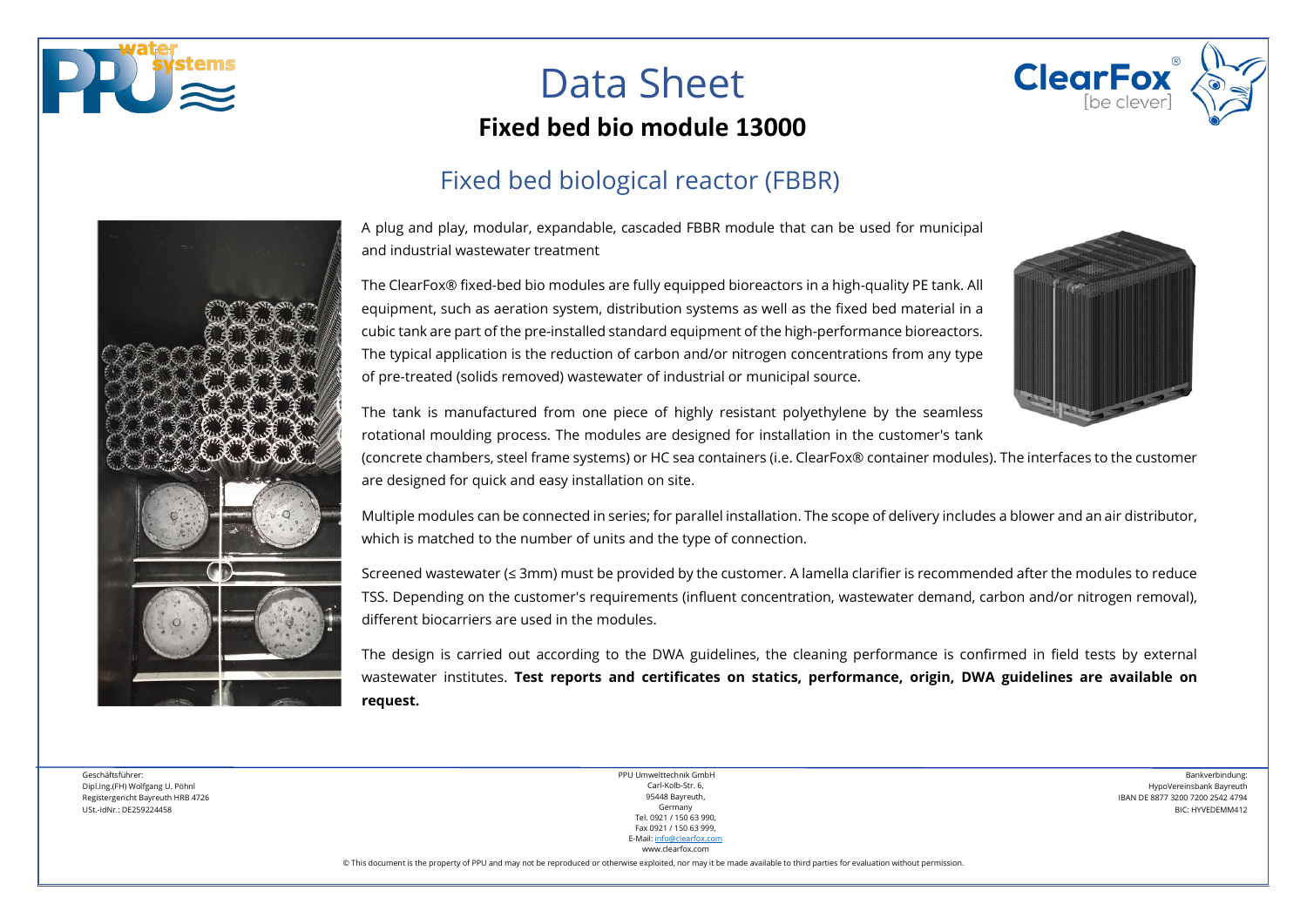

# Data Sheet



#### Fixed bed biological reactor (FBBR)



**ClearFox** 

A plug and play, modular, expandable, cascaded FBBR module that can be used for municipal and industrial wastewater treatment

The ClearFox® fixed-bed bio modules are fully equipped bioreactors in a high-quality PE tank. All equipment, such as aeration system, distribution systems as well as the fixed bed material in a cubic tank are part of the pre-installed standard equipment of the high-performance bioreactors. The typical application is the reduction of carbon and/or nitrogen concentrations from any type of pre-treated (solids removed) wastewater of industrial or municipal source.

The tank is manufactured from one piece of highly resistant polyethylene by the seamless rotational moulding process. The modules are designed for installation in the customer's tank

(concrete chambers, steel frame systems) or HC sea containers (i.e. ClearFox® container modules). The interfaces to the customer are designed for quick and easy installation on site.

Multiple modules can be connected in series; for parallel installation. The scope of delivery includes a blower and an air distributor, which is matched to the number of units and the type of connection.

Screened wastewater (≤ 3mm) must be provided by the customer. A lamella clarifier is recommended after the modules to reduce TSS. Depending on the customer's requirements (influent concentration, wastewater demand, carbon and/or nitrogen removal), different biocarriers are used in the modules.

The design is carried out according to the DWA guidelines, the cleaning performance is confirmed in field tests by external wastewater institutes. **Test reports and certificates on statics, performance, origin, DWA guidelines are available on request.**

Geschäftsführer: Dipl.Ing.(FH) Wolfgang U. Pöhnl Registergericht Bayreuth HRB 4726 USt.-IdNr.: DE259224458

PPU Umwelttechnik GmbH Carl-Kolb-Str. 6, 95448 Bayreuth, Germany Tel. 0921 / 150 63 990, Fax 0921 / 150 63 999, E-Mail[: info@clearfox.com](mailto:info@clearfox.com)

www.clearfox.com

Bankverbindung: HypoVereinsbank Bayreuth IBAN DE 8877 3200 7200 2542 4794 BIC: HYVEDEMM412

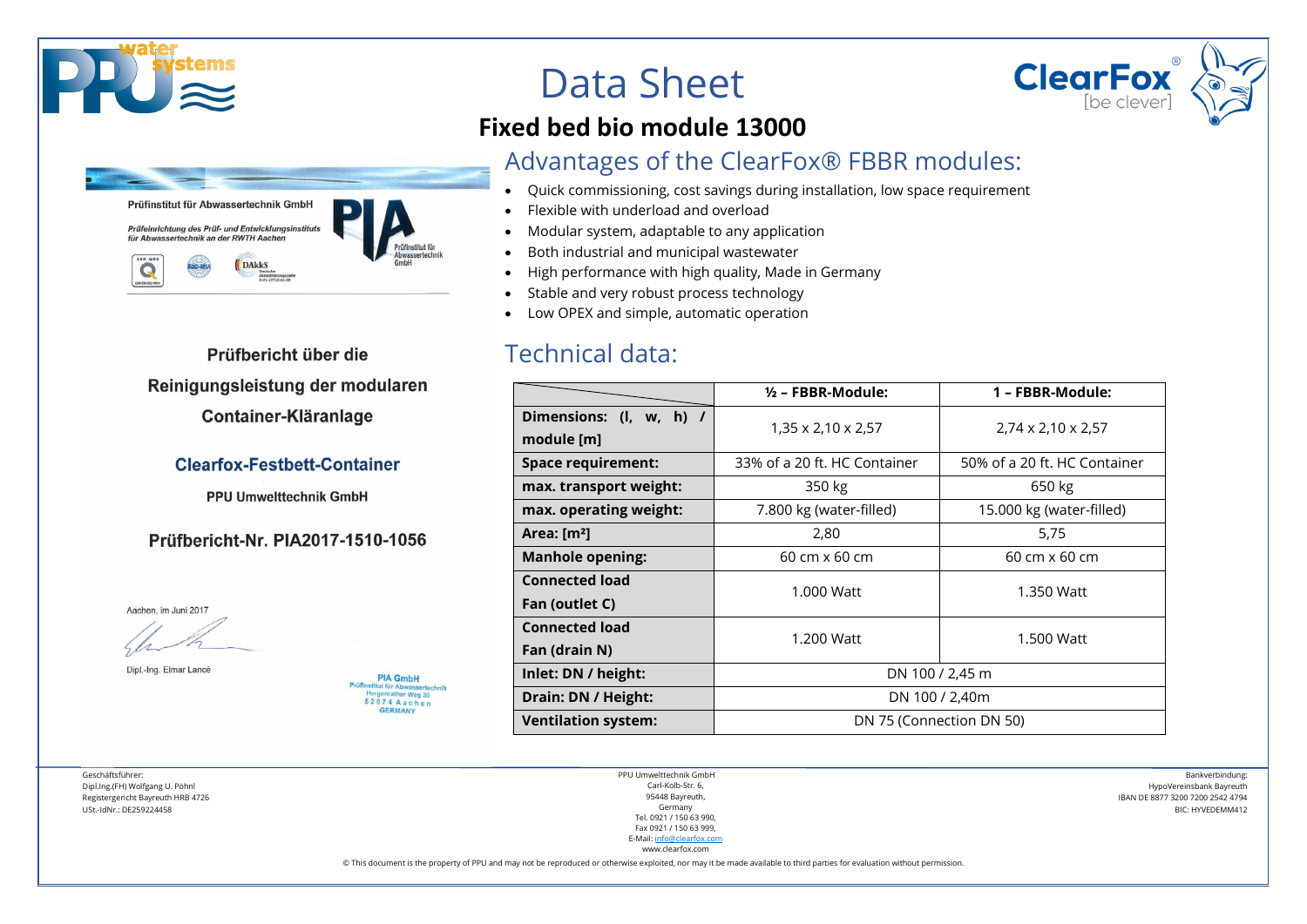



Prüfbericht über die Reinigungsleistung der modularen Container-Kläranlage

#### **Clearfox-Festbett-Container**

**PPU Umwelttechnik GmbH** 

Prüfbericht-Nr. PIA2017-1510-1056

**PIA GmbH** Prüfinstitut für Abwassertechnik ergenrather Weg 30 52074 Aachen GERMANY

Aachen, im Juni 2017

Dipl.-Ing. Elmar Lancé

Geschäftsführer: Dipl.Ing.(FH) Wolfgang U. Pöhnl Registergericht Bayreuth HRB 4726 USt.-IdNr.: DE259224458

Data Sheet

#### **Fixed bed bio module 13000**

#### Advantages of the ClearFox® FBBR modules:

- Quick commissioning, cost savings during installation, low space requirement
- Flexible with underload and overload
- Modular system, adaptable to any application
- Both industrial and municipal wastewater
- High performance with high quality, Made in Germany
- Stable and very robust process technology
- Low OPEX and simple, automatic operation

#### Technical data:

|                                       | $\frac{1}{2}$ – FBBR-Module: | 1 - FBBR-Module:               |  |  |  |  |
|---------------------------------------|------------------------------|--------------------------------|--|--|--|--|
| Dimensions: (I, w, h) /<br>module [m] | 1,35 x 2,10 x 2,57           | $2,74 \times 2,10 \times 2,57$ |  |  |  |  |
| Space requirement:                    | 33% of a 20 ft. HC Container | 50% of a 20 ft. HC Container   |  |  |  |  |
| max. transport weight:                | 350 kg                       | 650 kg                         |  |  |  |  |
| max. operating weight:                | 7.800 kg (water-filled)      | 15.000 kg (water-filled)       |  |  |  |  |
| Area: $[m2]$                          | 2,80                         | 5,75                           |  |  |  |  |
| <b>Manhole opening:</b>               | 60 cm x 60 cm                | 60 cm x 60 cm                  |  |  |  |  |
| <b>Connected load</b>                 | 1.000 Watt                   | 1.350 Watt                     |  |  |  |  |
| Fan (outlet C)                        |                              |                                |  |  |  |  |
| <b>Connected load</b>                 | 1.200 Watt                   | 1.500 Watt                     |  |  |  |  |
| Fan (drain N)                         |                              |                                |  |  |  |  |
| Inlet: DN / height:                   | DN 100 / 2,45 m              |                                |  |  |  |  |
| Drain: DN / Height:                   | DN 100 / 2,40m               |                                |  |  |  |  |
| <b>Ventilation system:</b>            | DN 75 (Connection DN 50)     |                                |  |  |  |  |

PPU Umwelttechnik GmbH Carl-Kolb-Str. 6, 95448 Bayreuth, Germany Tel. 0921 / 150 63 990, Fax 0921 / 150 63 999, E-Mail[: info@clearfox.com](mailto:info@clearfox.com) www.clearfox.com

Bankverbindung: HypoVereinsbank Bayreuth IBAN DE 8877 3200 7200 2542 4794 BIC: HYVEDEMM412

**ClearFox**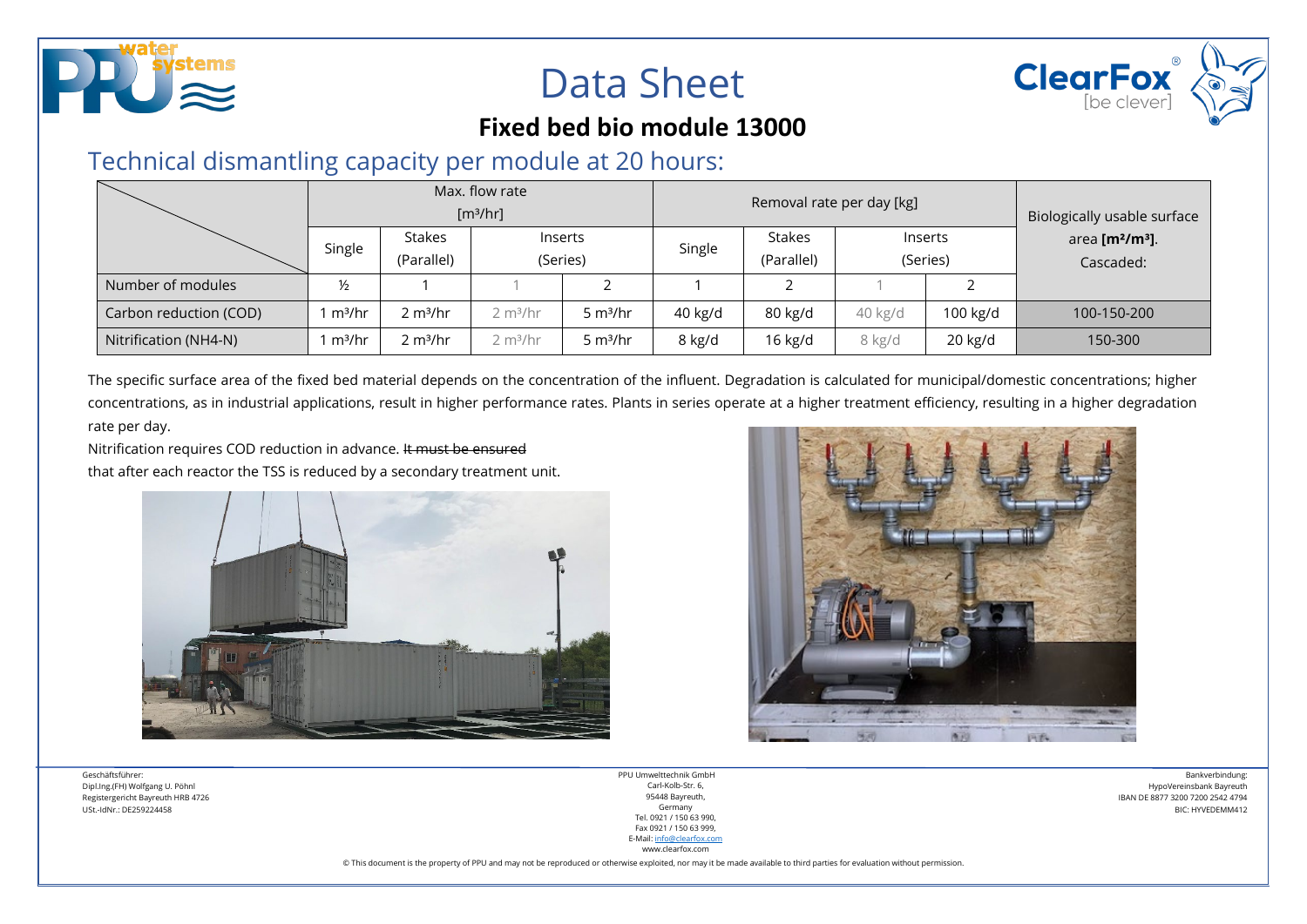

## Data Sheet



#### **Fixed bed bio module 13000**

### Technical dismantling capacity per module at 20 hours:

|                        | Max. flow rate<br>[m <sup>3</sup> /hr] |                      |                      | Removal rate per day [kg] |         |               |          | Biologically usable surface |                                         |
|------------------------|----------------------------------------|----------------------|----------------------|---------------------------|---------|---------------|----------|-----------------------------|-----------------------------------------|
|                        | <b>Stakes</b><br>Single<br>(Parallel)  |                      |                      | Inserts                   |         | <b>Stakes</b> | Inserts  |                             | area [m <sup>2</sup> /m <sup>3</sup> ]. |
|                        |                                        |                      | (Series)             |                           | Single  | (Parallel)    | (Series) |                             | Cascaded:                               |
| Number of modules      | $\frac{1}{2}$                          |                      |                      |                           |         |               |          |                             |                                         |
| Carbon reduction (COD) | m <sup>3</sup> /hr                     | 2 m <sup>3</sup> /hr | 2 m <sup>3</sup> /hr | 5 $m^3/hr$                | 40 kg/d | 80 kg/d       | 40 kg/d  | 100 kg/d                    | 100-150-200                             |
| Nitrification (NH4-N)  | m <sup>3</sup> /hr                     | 2 m <sup>3</sup> /hr | 2 m <sup>3</sup> /hr | 5 $m^3/hr$                | 8 kg/d  | $16$ kg/d     | 8 kg/d   | 20 kg/d                     | 150-300                                 |

The specific surface area of the fixed bed material depends on the concentration of the influent. Degradation is calculated for municipal/domestic concentrations; higher concentrations, as in industrial applications, result in higher performance rates. Plants in series operate at a higher treatment efficiency, resulting in a higher degradation rate per day.

Nitrification requires COD reduction in advance. It must be ensured

that after each reactor the TSS is reduced by a secondary treatment unit.





Geschäftsführer: Dipl.Ing.(FH) Wolfgang U. Pöhnl Registergericht Bayreuth HRB 4726 USt.-IdNr.: DE259224458

PPU Umwelttechnik GmbH Carl-Kolb-Str. 6, 95448 Bayreuth, Germany Tel. 0921 / 150 63 990, Fax 0921 / 150 63 999, E-Mail[: info@clearfox.com](mailto:info@clearfox.com) www.clearfox.com

Bankverbindung: HypoVereinsbank Bayreuth IBAN DE 8877 3200 7200 2542 4794 BIC: HYVEDEMM412